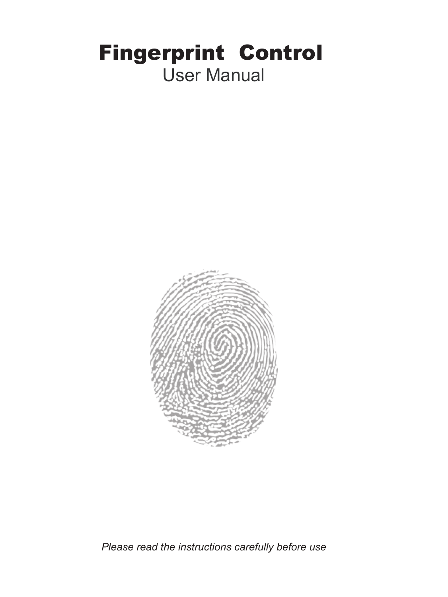# Fingerprint Control User Manual



*Please read the instructions carefully before use*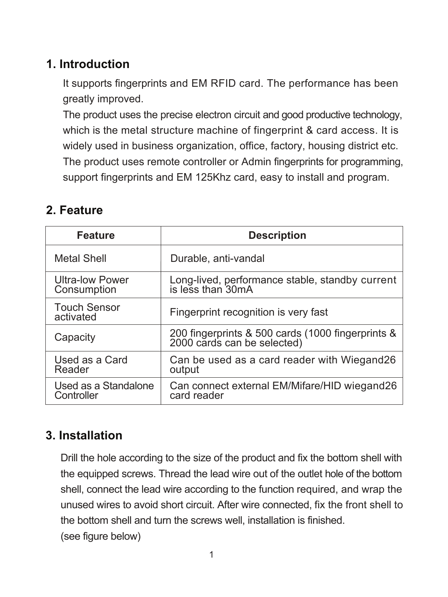## **1. Introduction**

 It supports fingerprints and EM RFID card. The performance has been greatly improved.

 The product uses the precise electron circuit and good productive technology, which is the metal structure machine of fingerprint & card access. It is widely used in business organization, office, factory, housing district etc. The product uses remote controller or Admin fingerprints for programming, support fingerprints and EM 125Khz card, easy to install and program.

## **2. Feature**

| Feature                               | <b>Description</b>                                                            |  |  |
|---------------------------------------|-------------------------------------------------------------------------------|--|--|
| Metal Shell                           | Durable, anti-vandal                                                          |  |  |
| <b>Ultra-low Power</b><br>Consumption | Long-lived, performance stable, standby current<br>is less than 30mA          |  |  |
| <b>Touch Sensor</b><br>activated      | Fingerprint recognition is very fast                                          |  |  |
| Capacity                              | 200 fingerprints & 500 cards (1000 fingerprints & 2000 cards can be selected) |  |  |
| Used as a Card<br>Reader              | Can be used as a card reader with Wiegand26<br>output                         |  |  |
| Used as a Standalone<br>Controller    | Can connect external EM/Mifare/HID wiegand26<br>card reader                   |  |  |

## **3. Installation**

Drill the hole according to the size of the product and fix the bottom shell with the equipped screws. Thread the lead wire out of the outlet hole of the bottom shell, connect the lead wire according to the function required, and wrap the unused wires to avoid short circuit. After wire connected, fix the front shell to the bottom shell and turn the screws well, installation is finished. (see figure below)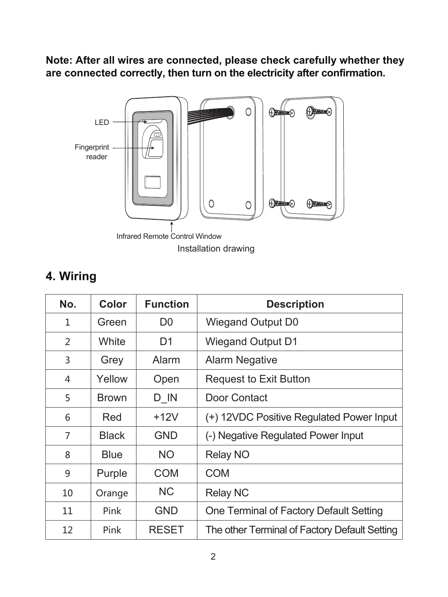**Note: After all wires are connected, please check carefully whether they are connected correctly, then turn on the electricity after confirmation.**



## **4. Wiring**

| No.          | Color        | <b>Function</b> | <b>Description</b>                            |  |
|--------------|--------------|-----------------|-----------------------------------------------|--|
| $\mathbf{1}$ | Green        | D <sub>0</sub>  | Wiegand Output D0                             |  |
| 2            | White        | D1              | <b>Wiegand Output D1</b>                      |  |
| 3            | Grey         | Alarm           | <b>Alarm Negative</b>                         |  |
| 4            | Yellow       | Open            | <b>Request to Exit Button</b>                 |  |
| 5            | <b>Brown</b> | D IN            | Door Contact                                  |  |
| 6            | Red          | $+12V$          | (+) 12VDC Positive Regulated Power Input      |  |
| 7            | <b>Black</b> | <b>GND</b>      | (-) Negative Regulated Power Input            |  |
| 8            | Blue         | <b>NO</b>       | Relay NO                                      |  |
| 9            | Purple       | COM             | COM                                           |  |
| 10           | Orange       | ΝC              | Relay NC                                      |  |
| 11           | Pink         | <b>GND</b>      | One Terminal of Factory Default Setting       |  |
| 12           | Pink         | <b>RESET</b>    | The other Terminal of Factory Default Setting |  |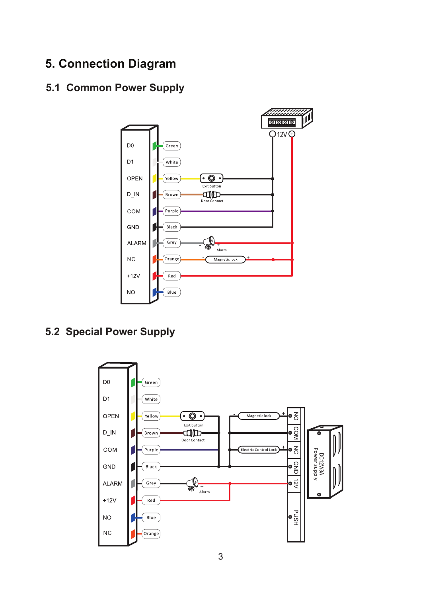## **5. Connection Diagram**

#### **5.1 Common Power Supply**



 **5.2 Special Power Supply**

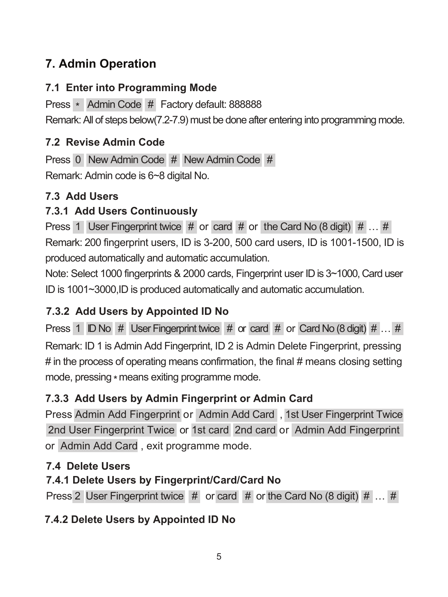## **7. Admin Operation**

#### **7.1 Enter into Programming Mode**

Press \* Admin Code # Factory default: 888888 Remark: All of steps below(7.2-7.9) must be done after entering into programming mode.

## **7.2 Revise Admin Code**

Press 0 New Admin Code # New Admin Code # Remark: Admin code is 6~8 digital No.

## **7.3 Add Users**

## **7.3.1 Add Users Continuously**

Press 1 User Fingerprint twice  $#$  or card  $#$  or the Card No (8 digit)  $# ...#$ Remark: 200 fingerprint users, ID is 3-200, 500 card users, ID is 1001-1500, ID is produced automatically and automatic accumulation.

Note: Select 1000 fingerprints & 2000 cards, Fingerprint user ID is 3~1000, Card user ID is 1001~3000,ID is produced automatically and automatic accumulation.

## **7.3.2 Add Users by Appointed ID No**

Remark: ID 1 is Admin Add Fingerprint, ID 2 is Admin Delete Fingerprint, pressing  $#$  in the process of operating means confirmation, the final  $#$  means closing setting mode, pressing \* means exiting programme mode. Press 1 ID No # User Fingerprint twice # or card # or Card No (8 digit) # ... #

## **7.3.3 Add Users by Admin Fingerprint or Admin Card**

Press Admin Add Fingerprint or Admin Add Card , 1st User Fingerprint Twice 2nd User Fingerprint Twice or 1st card 2nd card or Admin Add Fingerprint or Admin Add Card , exit programme mode.

## **7.4 Delete Users**

## **7.4.1 Delete Users by Fingerprint/Card/Card No**

Press 2 User Fingerprint twice # or card # or the Card No (8 digit) # ... #

## **7.4.2 Delete Users by Appointed ID No**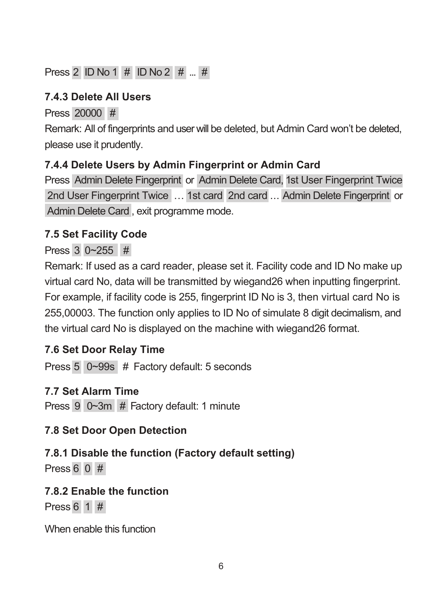## Press 2 ID No 1 # ID No 2 # ... #

#### **7.4.3 Delete All Users**

Press 20000 #

Remark: All of fingerprints and user will be deleted, but Admin Card won't be deleted, please use it prudently.

#### **7.4.4 Delete Users by Admin Fingerprint or Admin Card**

Press Admin Delete Fingerprint or Admin Delete Card, 1st User Fingerprint Twice 2nd User Fingerprint Twice … 1st card 2nd card ... Admin Delete Fingerprint or Admin Delete Card , exit programme mode.

## **7.5 Set Facility Code**

## Press 3 0~255 #

Remark: If used as a card reader, please set it. Facility code and ID No make up virtual card No, data will be transmitted by wiegand26 when inputting fingerprint. For example, if facility code is 255, fingerprint ID No is 3, then virtual card No is 255,00003. The function only applies to ID No of simulate 8 digit decimalism, and the virtual card No is displayed on the machine with wiegand26 format.

## **7.6 Set Door Relay Time**

Press 5 0~99s # Factory default: 5 seconds

## **7.7 Set Alarm Time**

Press 9 0~3m # Factory default: 1 minute

## **7.8 Set Door Open Detection**

# **7.8.1 Disable the function (Factory default setting)**

Press 6 0 #

## **7.8.2 Enable the function**

Press 6 1 #

When enable this function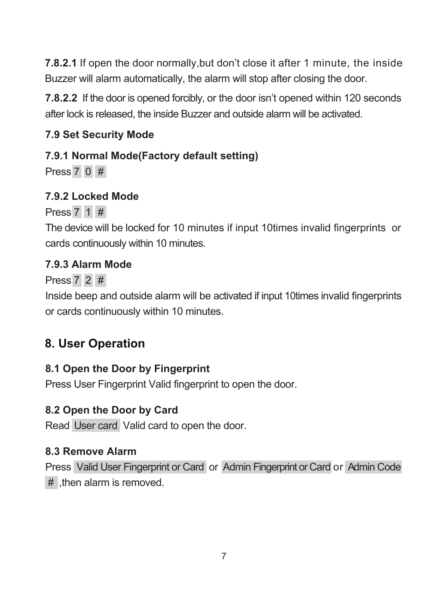**7.8.2.1** If open the door normally,but don't close it after 1 minute, the inside Buzzer will alarm automatically, the alarm will stop after closing the door.

**7.8.2.2** If the door is opened forcibly, or the door isn't opened within 120 seconds after lock is released, the inside Buzzer and outside alarm will be activated.

#### **7.9 Set Security Mode**

#### **7.9.1 Normal Mode(Factory default setting)**

Press 7 0 #

#### **7.9.2 Locked Mode**

Press 7 1 #

The device will be locked for 10 minutes if input 10times invalid fingerprints or cards continuously within 10 minutes.

#### **7.9.3 Alarm Mode**

Press 7 2 #

Inside beep and outside alarm will be activated if input 10times invalid fingerprints or cards continuously within 10 minutes.

## **8. User Operation**

#### **8.1 Open the Door by Fingerprint**

Press User Fingerprint Valid fingerprint to open the door.

#### **8.2 Open the Door by Card**

Read User card Valid card to open the door.

#### **8.3 Remove Alarm**

Press Valid User Fingerprint or Card or Admin Fingerprint or Card or Admin Code # then alarm is removed.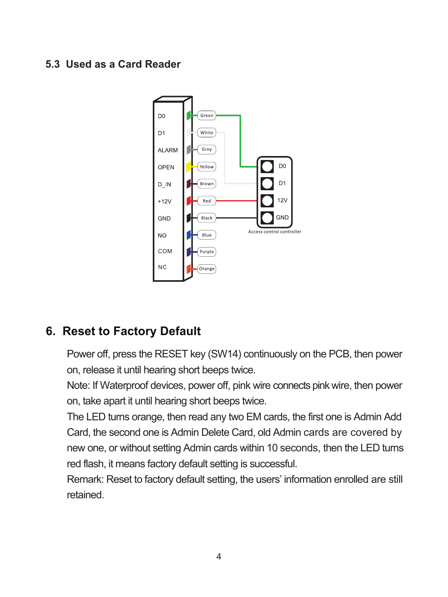#### **5.3 Used as a Card Reader**



#### **6. Reset to Factory Default**

Power off, press the RESET key (SW14) continuously on the PCB, then power on, release it until hearing short beeps twice.

Note: If Waterproof devices, power off, pink wire connects pink wire, then power on, take apart it until hearing short beeps twice.

The LED turns orange, then read any two EM cards, the first one is Admin Add Card, the second one is Admin Delete Card, old Admin cards are covered by new one, or without setting Admin cards within 10 seconds, then the LED turns red flash, it means factory default setting is successful.

Remark: Reset to factory default setting, the users' information enrolled are still retained.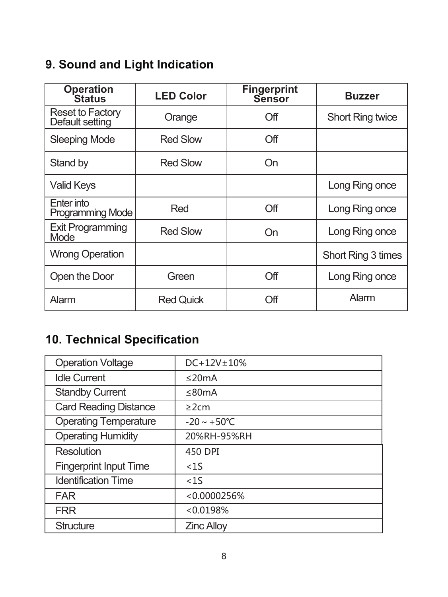# **9. Sound and Light Indication**

| Operation<br>Status                        | <b>LED Color</b> | <b>Fingerprint</b><br>Sensor | <b>Buzzer</b>           |
|--------------------------------------------|------------------|------------------------------|-------------------------|
| <b>Reset to Factory</b><br>Default setting | Orange           | Off                          | <b>Short Ring twice</b> |
| <b>Sleeping Mode</b>                       | <b>Red Slow</b>  | Off                          |                         |
| Stand by                                   | <b>Red Slow</b>  | On                           |                         |
| <b>Valid Keys</b>                          |                  |                              | Long Ring once          |
| Enter into<br><b>Programming Mode</b>      | Red              | Off                          | Long Ring once          |
| <b>Exit Programming</b><br><b>Mode</b>     | <b>Red Slow</b>  | On                           | Long Ring once          |
| <b>Wrong Operation</b>                     |                  |                              | Short Ring 3 times      |
| Open the Door                              | Green            | Off                          | Long Ring once          |
| Alarm                                      | <b>Red Quick</b> | Off                          | Alarm                   |

# **10. Technical Specification**

| <b>Operation Voltage</b>      | $DC + 12V + 10%$         |
|-------------------------------|--------------------------|
| <b>Idle Current</b>           | $\leq$ 20mA              |
| <b>Standby Current</b>        | $\leq$ 80mA              |
| <b>Card Reading Distance</b>  | $\geq$ 2cm               |
| <b>Operating Temperature</b>  | $-20 \sim +50^{\circ}$ C |
| <b>Operating Humidity</b>     | 20%RH-95%RH              |
| <b>Resolution</b>             | 450 DPI                  |
| <b>Fingerprint Input Time</b> | <1S                      |
| <b>Identification Time</b>    | <1S                      |
| <b>FAR</b>                    | < 0.0000256%             |
| <b>FRR</b>                    | < 0.0198%                |
| Structure                     | <b>Zinc Alloy</b>        |